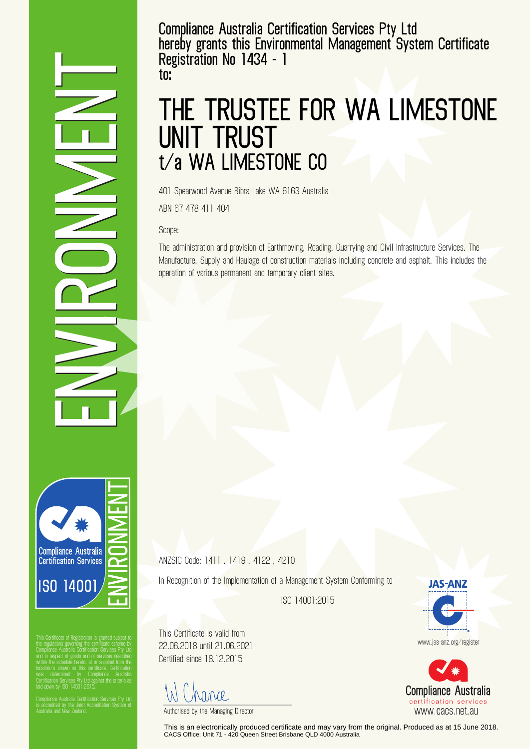**Compliance Australia Certification Services Pty Ltd hereby grants this Environmental Management System Certificate Registration No 1434 - 1 to:**

## **THE TRUSTEE FOR WA LIMESTONE UNIT TRUST t/a WA LIMESTONE CO**

401 Spearwood Avenue Bibra Lake WA 6163 Australia

ABN 67 478 411 404

Scope:

The administration and provision of Earthmoving, Roading, Quarrying and Civil Infrastructure Services. The Manufacture, Supply and Haulage of construction materials including concrete and asphalt. This includes the operation of various permanent and temporary client sites.

ANZSIC Code: 1411 . 1419 , 4122 , 4210

In Recognition of the Implementation of a Management System Conforming to

ISO 14001:2015

This Certificate is valid from 22.06.2018 until 21.06.2021 Certified since 18.12.2015

MMP.

Authorised by the Managing Director

This is an electronically produced certificate and may vary from the original. Produced as at 15 June 2018. CACS Office: Unit 71 - 420 Queen Street Brisbane QLD 4000 Australia





**Compliance Australia** Certification Services **ISO 14001** 

This Certificate of Registration is granted subject to the regulations governing the certificate scheme by Compliance Australia Certification Services Pty Ltd and in respect of goods and or services described within the schedule hereto, at or supplied from the Certification Services Pty Ltd against the criteria as laid down by ISO 14001:2015.

is accredited by the Joint Accreditation System of Australia and New Zealand.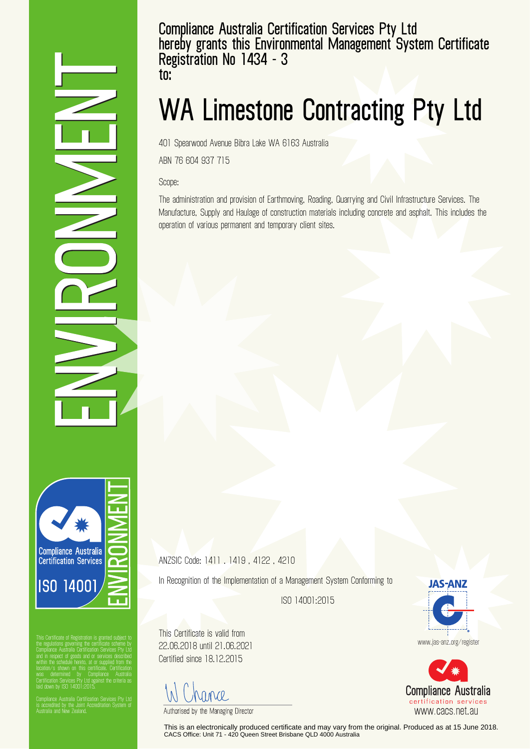**Compliance Australia Certification Services Pty Ltd hereby grants this Environmental Management System Certificate Registration No 1434 - 3 to:**

## **WA Limestone Contracting Pty Ltd**

401 Spearwood Avenue Bibra Lake WA 6163 Australia

ABN 76 604 937 715

Scope:

The administration and provision of Earthmoving, Roading, Quarrying and Civil Infrastructure Services. The Manufacture, Supply and Haulage of construction materials including concrete and asphalt. This includes the operation of various permanent and temporary client sites.

ANZSIC Code: 1411 . 1419 , 4122 , 4210

In Recognition of the Implementation of a Management System Conforming to

ISO 14001:2015

This Certificate is valid from 22.06.2018 until 21.06.2021 Certified since 18.12.2015

MMP.

Authorised by the Managing Director

This is an electronically produced certificate and may vary from the original. Produced as at 15 June 2018. CACS Office: Unit 71 - 420 Queen Street Brisbane QLD 4000 Australia

**JAS-ANZ** www.jas-anz.org/register

**Compliance Australia** certification services

www.cacs.net.au

**Compliance Australia** Certification Services **ISO 14001** 

This Certificate of Registration is granted subject to the regulations governing the certificate scheme by Compliance Australia Certification Services Pty Ltd and in respect of goods and or services described within the schedule hereto, at or supplied from the Certification Services Pty Ltd against the criteria as laid down by ISO 14001:2015.

is accredited by the Joint Accreditation System of Australia and New Zealand.